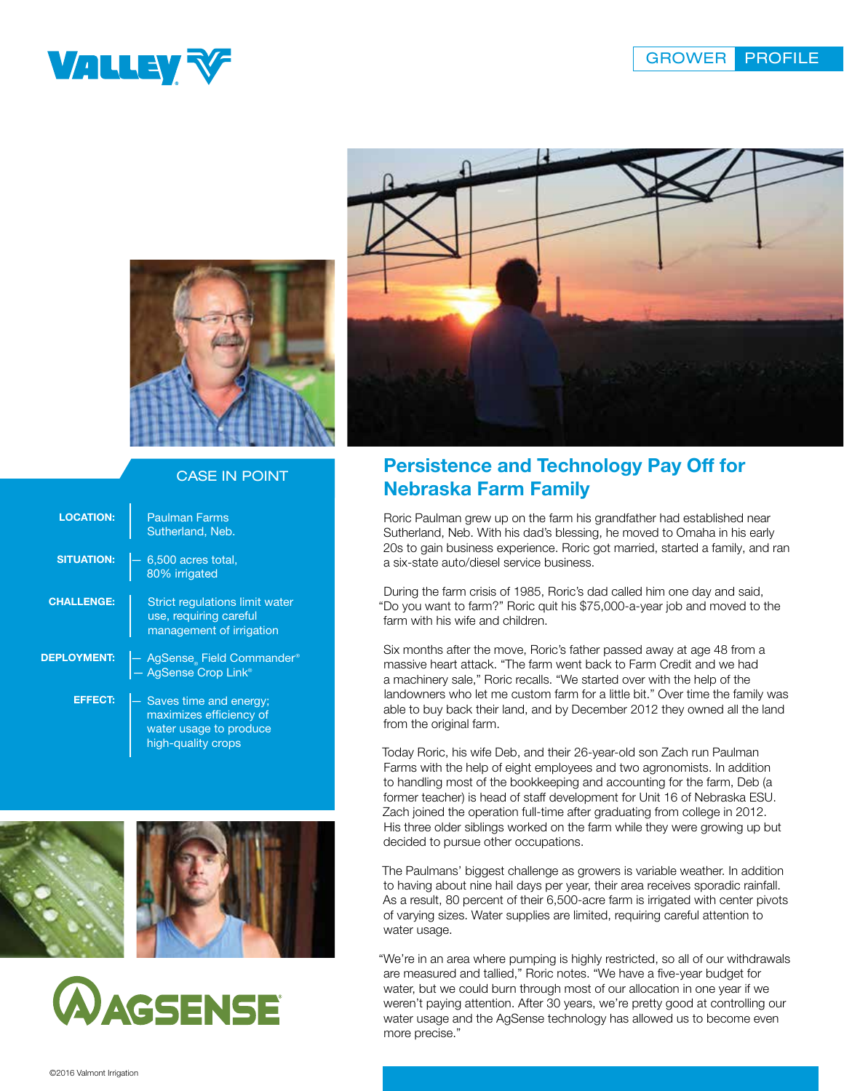





## CASE IN POINT

| <b>LOCATION:</b>   | <b>Paulman Farms</b><br>Sutherland, Neb.                                                          |
|--------------------|---------------------------------------------------------------------------------------------------|
| <b>SITUATION:</b>  | 6,500 acres total,<br>80% irrigated                                                               |
| <b>CHALLENGE:</b>  | Strict regulations limit water<br>use, requiring careful<br>management of irrigation              |
| <b>DEPLOYMENT:</b> | AgSense Field Commander®<br>- AgSense Crop Link®                                                  |
| <b>EFFECT:</b>     | Saves time and energy;<br>maximizes efficiency of<br>water usage to produce<br>high-quality crops |







## Persistence and Technology Pay Off for Nebraska Farm Family

Roric Paulman grew up on the farm his grandfather had established near Sutherland, Neb. With his dad's blessing, he moved to Omaha in his early 20s to gain business experience. Roric got married, started a family, and ran a six-state auto/diesel service business.

During the farm crisis of 1985, Roric's dad called him one day and said, "Do you want to farm?" Roric quit his \$75,000-a-year job and moved to the farm with his wife and children.

Six months after the move, Roric's father passed away at age 48 from a massive heart attack. "The farm went back to Farm Credit and we had a machinery sale," Roric recalls. "We started over with the help of the landowners who let me custom farm for a little bit." Over time the family was able to buy back their land, and by December 2012 they owned all the land from the original farm.

Today Roric, his wife Deb, and their 26-year-old son Zach run Paulman Farms with the help of eight employees and two agronomists. In addition to handling most of the bookkeeping and accounting for the farm, Deb (a former teacher) is head of staff development for Unit 16 of Nebraska ESU. Zach joined the operation full-time after graduating from college in 2012. His three older siblings worked on the farm while they were growing up but decided to pursue other occupations.

The Paulmans' biggest challenge as growers is variable weather. In addition to having about nine hail days per year, their area receives sporadic rainfall. As a result, 80 percent of their 6,500-acre farm is irrigated with center pivots of varying sizes. Water supplies are limited, requiring careful attention to water usage.

"We're in an area where pumping is highly restricted, so all of our withdrawals are measured and tallied," Roric notes. "We have a five-year budget for water, but we could burn through most of our allocation in one year if we weren't paying attention. After 30 years, we're pretty good at controlling our water usage and the AgSense technology has allowed us to become even more precise."